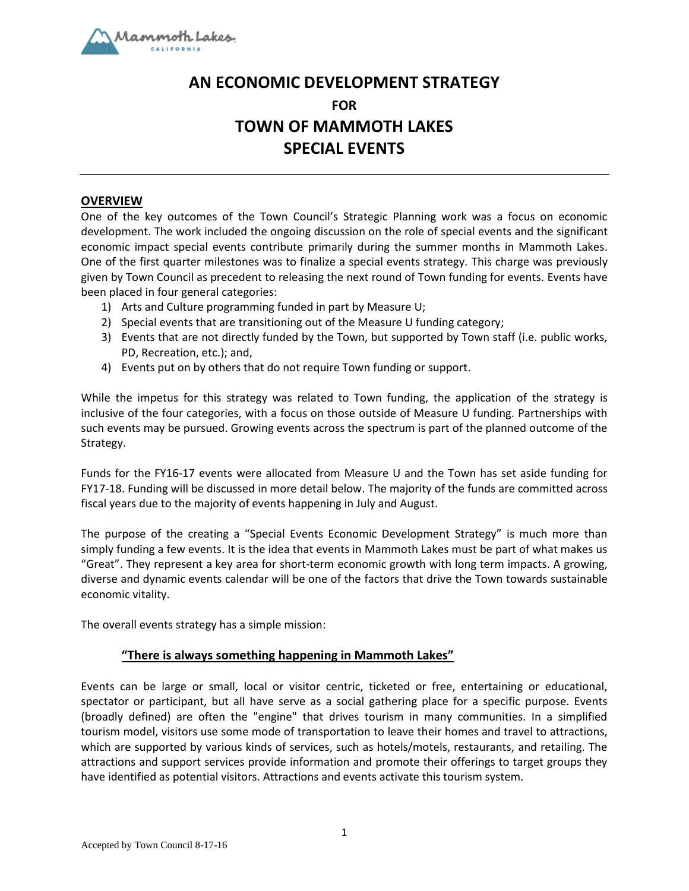

# **AN ECONOMIC DEVELOPMENT STRATEGY FOR TOWN OF MAMMOTH LAKES SPECIAL EVENTS**

## **OVERVIEW**

One of the key outcomes of the Town Council's Strategic Planning work was a focus on economic development. The work included the ongoing discussion on the role of special events and the significant economic impact special events contribute primarily during the summer months in Mammoth Lakes. One of the first quarter milestones was to finalize a special events strategy. This charge was previously given by Town Council as precedent to releasing the next round of Town funding for events. Events have been placed in four general categories:

- 1) Arts and Culture programming funded in part by Measure U;
- 2) Special events that are transitioning out of the Measure U funding category;
- 3) Events that are not directly funded by the Town, but supported by Town staff (i.e. public works, PD, Recreation, etc.); and,
- 4) Events put on by others that do not require Town funding or support.

While the impetus for this strategy was related to Town funding, the application of the strategy is inclusive of the four categories, with a focus on those outside of Measure U funding. Partnerships with such events may be pursued. Growing events across the spectrum is part of the planned outcome of the Strategy.

Funds for the FY16-17 events were allocated from Measure U and the Town has set aside funding for FY17-18. Funding will be discussed in more detail below. The majority of the funds are committed across fiscal years due to the majority of events happening in July and August.

The purpose of the creating a "Special Events Economic Development Strategy" is much more than simply funding a few events. It is the idea that events in Mammoth Lakes must be part of what makes us "Great". They represent a key area for short-term economic growth with long term impacts. A growing, diverse and dynamic events calendar will be one of the factors that drive the Town towards sustainable economic vitality.

The overall events strategy has a simple mission:

# **"There is always something happening in Mammoth Lakes"**

Events can be large or small, local or visitor centric, ticketed or free, entertaining or educational, spectator or participant, but all have serve as a social gathering place for a specific purpose. Events (broadly defined) are often the "engine" that drives tourism in many communities. In a simplified tourism model, visitors use some mode of transportation to leave their homes and travel to attractions, which are supported by various kinds of services, such as hotels/motels, restaurants, and retailing. The attractions and support services provide information and promote their offerings to target groups they have identified as potential visitors. Attractions and events activate this tourism system.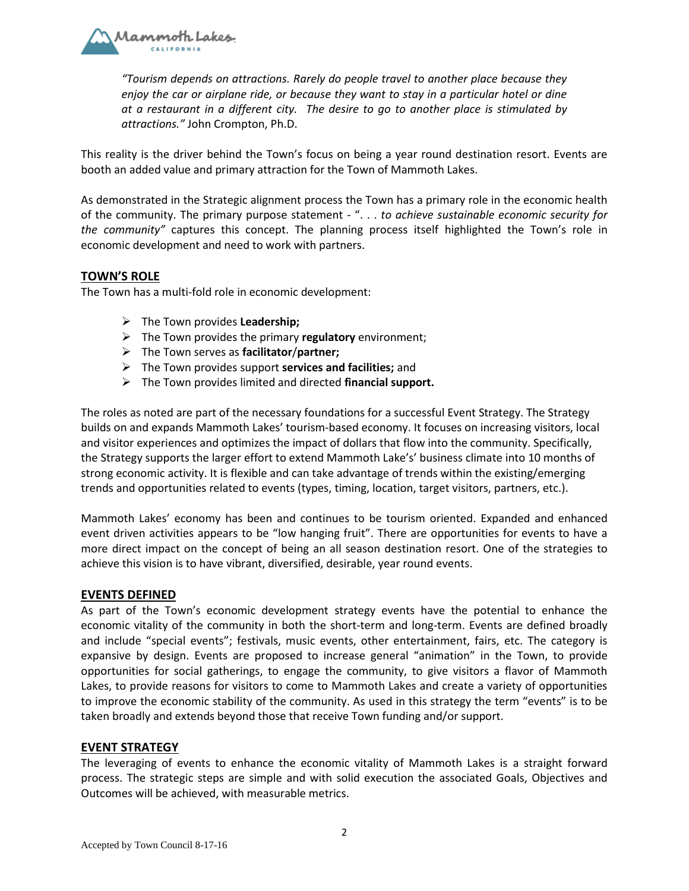

*"Tourism depends on attractions. Rarely do people travel to another place because they enjoy the car or airplane ride, or because they want to stay in a particular hotel or dine at a restaurant in a different city. The desire to go to another place is stimulated by attractions."* John Crompton, Ph.D.

This reality is the driver behind the Town's focus on being a year round destination resort. Events are booth an added value and primary attraction for the Town of Mammoth Lakes.

As demonstrated in the Strategic alignment process the Town has a primary role in the economic health of the community. The primary purpose statement - ". . . *to achieve sustainable economic security for the community"* captures this concept. The planning process itself highlighted the Town's role in economic development and need to work with partners.

## **TOWN'S ROLE**

The Town has a multi-fold role in economic development:

- ➢ The Town provides **Leadership;**
- ➢ The Town provides the primary **regulatory** environment;
- ➢ The Town serves as **facilitator**/**partner;**
- ➢ The Town provides support **services and facilities;** and
- ➢ The Town provides limited and directed **financial support.**

The roles as noted are part of the necessary foundations for a successful Event Strategy. The Strategy builds on and expands Mammoth Lakes' tourism-based economy. It focuses on increasing visitors, local and visitor experiences and optimizes the impact of dollars that flow into the community. Specifically, the Strategy supports the larger effort to extend Mammoth Lake's' business climate into 10 months of strong economic activity. It is flexible and can take advantage of trends within the existing/emerging trends and opportunities related to events (types, timing, location, target visitors, partners, etc.).

Mammoth Lakes' economy has been and continues to be tourism oriented. Expanded and enhanced event driven activities appears to be "low hanging fruit". There are opportunities for events to have a more direct impact on the concept of being an all season destination resort. One of the strategies to achieve this vision is to have vibrant, diversified, desirable, year round events.

#### **EVENTS DEFINED**

As part of the Town's economic development strategy events have the potential to enhance the economic vitality of the community in both the short-term and long-term. Events are defined broadly and include "special events"; festivals, music events, other entertainment, fairs, etc. The category is expansive by design. Events are proposed to increase general "animation" in the Town, to provide opportunities for social gatherings, to engage the community, to give visitors a flavor of Mammoth Lakes, to provide reasons for visitors to come to Mammoth Lakes and create a variety of opportunities to improve the economic stability of the community. As used in this strategy the term "events" is to be taken broadly and extends beyond those that receive Town funding and/or support.

#### **EVENT STRATEGY**

The leveraging of events to enhance the economic vitality of Mammoth Lakes is a straight forward process. The strategic steps are simple and with solid execution the associated Goals, Objectives and Outcomes will be achieved, with measurable metrics.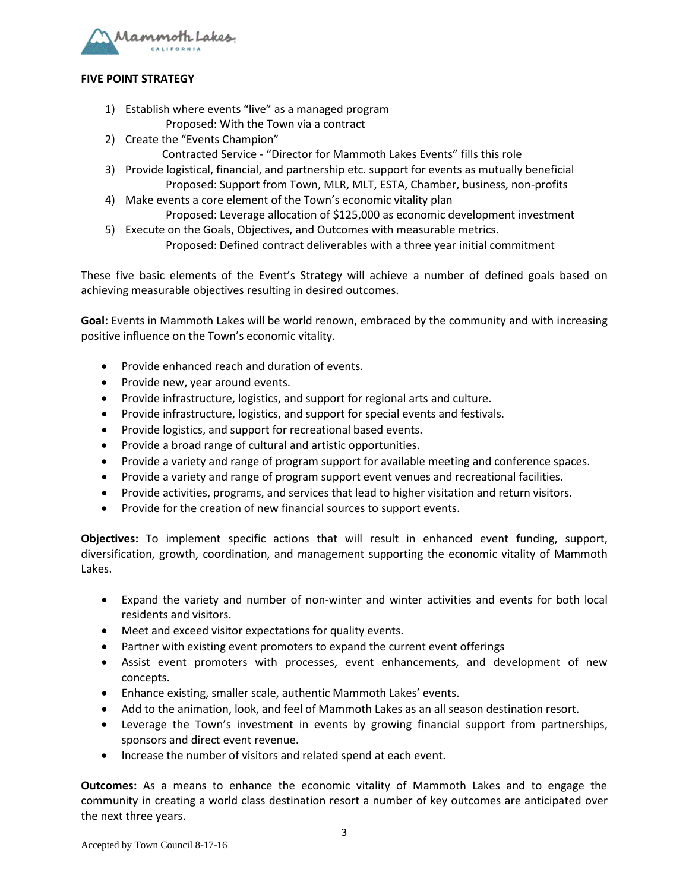

#### **FIVE POINT STRATEGY**

- 1) Establish where events "live" as a managed program Proposed: With the Town via a contract
- 2) Create the "Events Champion"
	- Contracted Service "Director for Mammoth Lakes Events" fills this role
- 3) Provide logistical, financial, and partnership etc. support for events as mutually beneficial Proposed: Support from Town, MLR, MLT, ESTA, Chamber, business, non-profits
- 4) Make events a core element of the Town's economic vitality plan Proposed: Leverage allocation of \$125,000 as economic development investment
- 5) Execute on the Goals, Objectives, and Outcomes with measurable metrics. Proposed: Defined contract deliverables with a three year initial commitment

These five basic elements of the Event's Strategy will achieve a number of defined goals based on achieving measurable objectives resulting in desired outcomes.

**Goal:** Events in Mammoth Lakes will be world renown, embraced by the community and with increasing positive influence on the Town's economic vitality.

- Provide enhanced reach and duration of events.
- Provide new, year around events.
- Provide infrastructure, logistics, and support for regional arts and culture.
- Provide infrastructure, logistics, and support for special events and festivals.
- Provide logistics, and support for recreational based events.
- Provide a broad range of cultural and artistic opportunities.
- Provide a variety and range of program support for available meeting and conference spaces.
- Provide a variety and range of program support event venues and recreational facilities.
- Provide activities, programs, and services that lead to higher visitation and return visitors.
- Provide for the creation of new financial sources to support events.

**Objectives:** To implement specific actions that will result in enhanced event funding, support, diversification, growth, coordination, and management supporting the economic vitality of Mammoth Lakes.

- Expand the variety and number of non-winter and winter activities and events for both local residents and visitors.
- Meet and exceed visitor expectations for quality events.
- Partner with existing event promoters to expand the current event offerings
- Assist event promoters with processes, event enhancements, and development of new concepts.
- Enhance existing, smaller scale, authentic Mammoth Lakes' events.
- Add to the animation, look, and feel of Mammoth Lakes as an all season destination resort.
- Leverage the Town's investment in events by growing financial support from partnerships, sponsors and direct event revenue.
- Increase the number of visitors and related spend at each event.

**Outcomes:** As a means to enhance the economic vitality of Mammoth Lakes and to engage the community in creating a world class destination resort a number of key outcomes are anticipated over the next three years.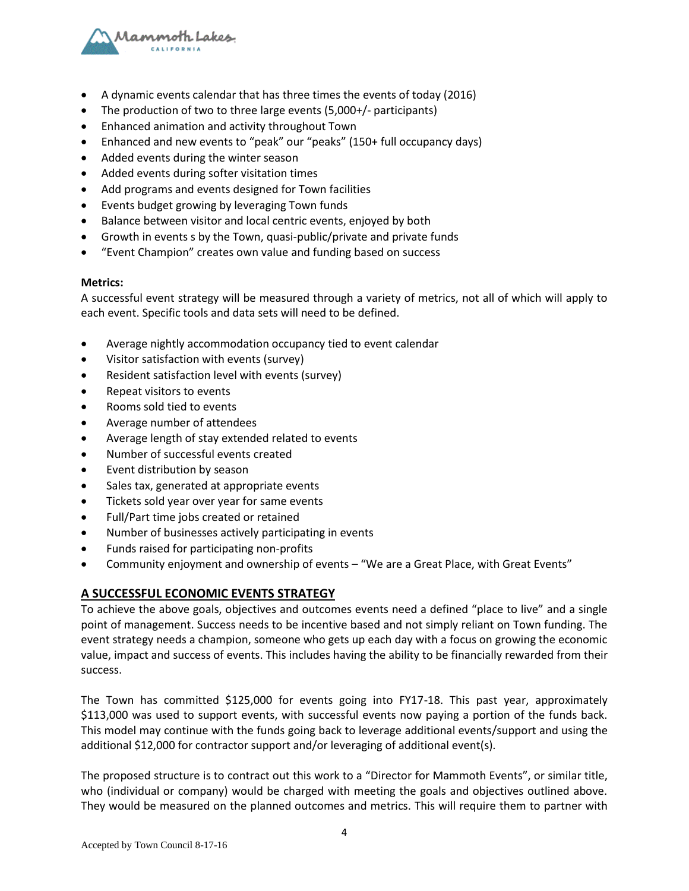

- A dynamic events calendar that has three times the events of today (2016)
- The production of two to three large events (5,000+/- participants)
- Enhanced animation and activity throughout Town
- Enhanced and new events to "peak" our "peaks" (150+ full occupancy days)
- Added events during the winter season
- Added events during softer visitation times
- Add programs and events designed for Town facilities
- Events budget growing by leveraging Town funds
- Balance between visitor and local centric events, enjoyed by both
- Growth in events s by the Town, quasi-public/private and private funds
- "Event Champion" creates own value and funding based on success

#### **Metrics:**

A successful event strategy will be measured through a variety of metrics, not all of which will apply to each event. Specific tools and data sets will need to be defined.

- Average nightly accommodation occupancy tied to event calendar
- Visitor satisfaction with events (survey)
- Resident satisfaction level with events (survey)
- Repeat visitors to events
- Rooms sold tied to events
- Average number of attendees
- Average length of stay extended related to events
- Number of successful events created
- Event distribution by season
- Sales tax, generated at appropriate events
- Tickets sold year over year for same events
- Full/Part time jobs created or retained
- Number of businesses actively participating in events
- Funds raised for participating non-profits
- Community enjoyment and ownership of events "We are a Great Place, with Great Events"

# **A SUCCESSFUL ECONOMIC EVENTS STRATEGY**

To achieve the above goals, objectives and outcomes events need a defined "place to live" and a single point of management. Success needs to be incentive based and not simply reliant on Town funding. The event strategy needs a champion, someone who gets up each day with a focus on growing the economic value, impact and success of events. This includes having the ability to be financially rewarded from their success.

The Town has committed \$125,000 for events going into FY17-18. This past year, approximately \$113,000 was used to support events, with successful events now paying a portion of the funds back. This model may continue with the funds going back to leverage additional events/support and using the additional \$12,000 for contractor support and/or leveraging of additional event(s).

The proposed structure is to contract out this work to a "Director for Mammoth Events", or similar title, who (individual or company) would be charged with meeting the goals and objectives outlined above. They would be measured on the planned outcomes and metrics. This will require them to partner with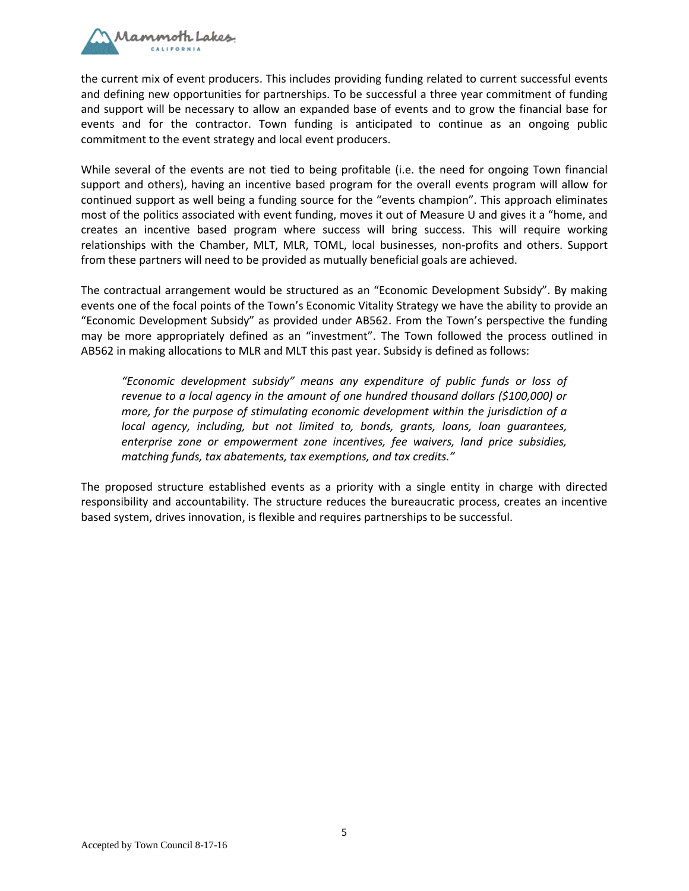

the current mix of event producers. This includes providing funding related to current successful events and defining new opportunities for partnerships. To be successful a three year commitment of funding and support will be necessary to allow an expanded base of events and to grow the financial base for events and for the contractor. Town funding is anticipated to continue as an ongoing public commitment to the event strategy and local event producers.

While several of the events are not tied to being profitable (i.e. the need for ongoing Town financial support and others), having an incentive based program for the overall events program will allow for continued support as well being a funding source for the "events champion". This approach eliminates most of the politics associated with event funding, moves it out of Measure U and gives it a "home, and creates an incentive based program where success will bring success. This will require working relationships with the Chamber, MLT, MLR, TOML, local businesses, non-profits and others. Support from these partners will need to be provided as mutually beneficial goals are achieved.

The contractual arrangement would be structured as an "Economic Development Subsidy". By making events one of the focal points of the Town's Economic Vitality Strategy we have the ability to provide an "Economic Development Subsidy" as provided under AB562. From the Town's perspective the funding may be more appropriately defined as an "investment". The Town followed the process outlined in AB562 in making allocations to MLR and MLT this past year. Subsidy is defined as follows:

*"Economic development subsidy" means any expenditure of public funds or loss of revenue to a local agency in the amount of one hundred thousand dollars (\$100,000) or more, for the purpose of stimulating economic development within the jurisdiction of a local agency, including, but not limited to, bonds, grants, loans, loan guarantees, enterprise zone or empowerment zone incentives, fee waivers, land price subsidies, matching funds, tax abatements, tax exemptions, and tax credits."*

The proposed structure established events as a priority with a single entity in charge with directed responsibility and accountability. The structure reduces the bureaucratic process, creates an incentive based system, drives innovation, is flexible and requires partnerships to be successful.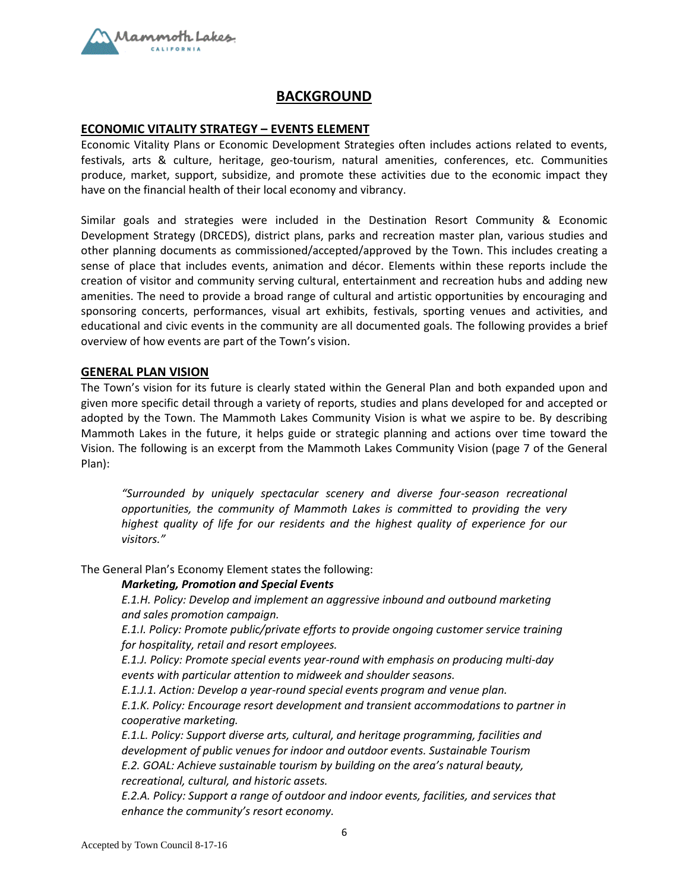

# **BACKGROUND**

#### **ECONOMIC VITALITY STRATEGY – EVENTS ELEMENT**

Economic Vitality Plans or Economic Development Strategies often includes actions related to events, festivals, arts & culture, heritage, geo-tourism, natural amenities, conferences, etc. Communities produce, market, support, subsidize, and promote these activities due to the economic impact they have on the financial health of their local economy and vibrancy.

Similar goals and strategies were included in the Destination Resort Community & Economic Development Strategy (DRCEDS), district plans, parks and recreation master plan, various studies and other planning documents as commissioned/accepted/approved by the Town. This includes creating a sense of place that includes events, animation and décor. Elements within these reports include the creation of visitor and community serving cultural, entertainment and recreation hubs and adding new amenities. The need to provide a broad range of cultural and artistic opportunities by encouraging and sponsoring concerts, performances, visual art exhibits, festivals, sporting venues and activities, and educational and civic events in the community are all documented goals. The following provides a brief overview of how events are part of the Town's vision.

#### **GENERAL PLAN VISION**

The Town's vision for its future is clearly stated within the General Plan and both expanded upon and given more specific detail through a variety of reports, studies and plans developed for and accepted or adopted by the Town. The Mammoth Lakes Community Vision is what we aspire to be. By describing Mammoth Lakes in the future, it helps guide or strategic planning and actions over time toward the Vision. The following is an excerpt from the Mammoth Lakes Community Vision (page 7 of the General Plan):

*"Surrounded by uniquely spectacular scenery and diverse four-season recreational opportunities, the community of Mammoth Lakes is committed to providing the very highest quality of life for our residents and the highest quality of experience for our visitors."*

The General Plan's Economy Element states the following:

#### *Marketing, Promotion and Special Events*

*E.1.H. Policy: Develop and implement an aggressive inbound and outbound marketing and sales promotion campaign.*

*E.1.I. Policy: Promote public/private efforts to provide ongoing customer service training for hospitality, retail and resort employees.*

*E.1.J. Policy: Promote special events year-round with emphasis on producing multi-day events with particular attention to midweek and shoulder seasons.* 

*E.1.J.1. Action: Develop a year-round special events program and venue plan.*

*E.1.K. Policy: Encourage resort development and transient accommodations to partner in cooperative marketing.*

*E.1.L. Policy: Support diverse arts, cultural, and heritage programming, facilities and development of public venues for indoor and outdoor events. Sustainable Tourism E.2. GOAL: Achieve sustainable tourism by building on the area's natural beauty, recreational, cultural, and historic assets.*

*E.2.A. Policy: Support a range of outdoor and indoor events, facilities, and services that enhance the community's resort economy.*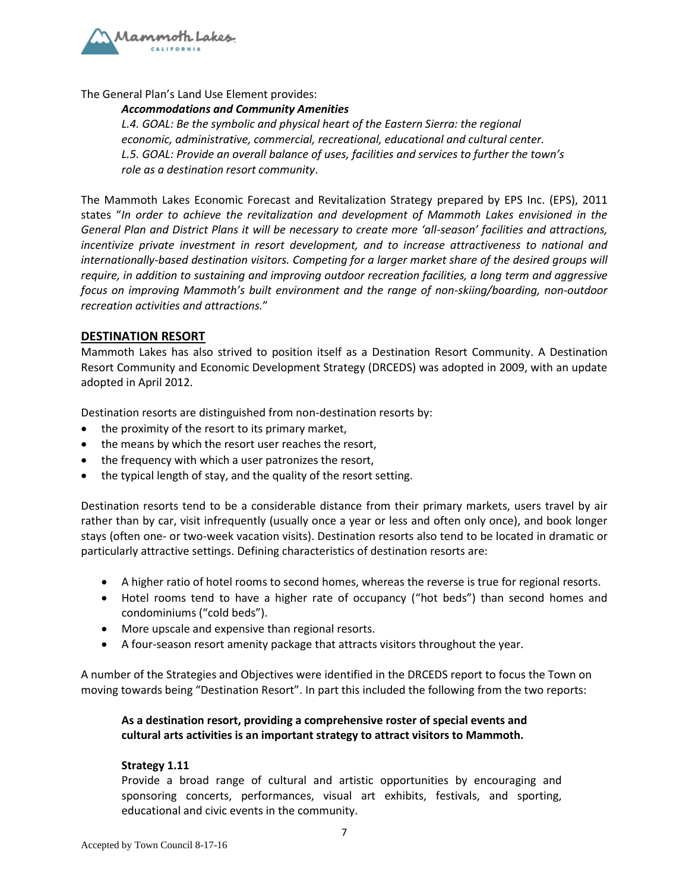

The General Plan's Land Use Element provides:

#### *Accommodations and Community Amenities*

*L.4. GOAL: Be the symbolic and physical heart of the Eastern Sierra: the regional economic, administrative, commercial, recreational, educational and cultural center. L.5. GOAL: Provide an overall balance of uses, facilities and services to further the town's role as a destination resort community*.

The Mammoth Lakes Economic Forecast and Revitalization Strategy prepared by EPS Inc. (EPS), 2011 states "*In order to achieve the revitalization and development of Mammoth Lakes envisioned in the General Plan and District Plans it will be necessary to create more 'all-season' facilities and attractions, incentivize private investment in resort development, and to increase attractiveness to national and internationally-based destination visitors. Competing for a larger market share of the desired groups will require, in addition to sustaining and improving outdoor recreation facilities, a long term and aggressive focus on improving Mammoth's built environment and the range of non-skiing/boarding, non-outdoor recreation activities and attractions.*"

## **DESTINATION RESORT**

Mammoth Lakes has also strived to position itself as a Destination Resort Community. A Destination Resort Community and Economic Development Strategy (DRCEDS) was adopted in 2009, with an update adopted in April 2012.

Destination resorts are distinguished from non-destination resorts by:

- the proximity of the resort to its primary market,
- the means by which the resort user reaches the resort,
- the frequency with which a user patronizes the resort,
- the typical length of stay, and the quality of the resort setting.

Destination resorts tend to be a considerable distance from their primary markets, users travel by air rather than by car, visit infrequently (usually once a year or less and often only once), and book longer stays (often one- or two-week vacation visits). Destination resorts also tend to be located in dramatic or particularly attractive settings. Defining characteristics of destination resorts are:

- A higher ratio of hotel rooms to second homes, whereas the reverse is true for regional resorts.
- Hotel rooms tend to have a higher rate of occupancy ("hot beds") than second homes and condominiums ("cold beds").
- More upscale and expensive than regional resorts.
- A four-season resort amenity package that attracts visitors throughout the year.

A number of the Strategies and Objectives were identified in the DRCEDS report to focus the Town on moving towards being "Destination Resort". In part this included the following from the two reports:

# **As a destination resort, providing a comprehensive roster of special events and cultural arts activities is an important strategy to attract visitors to Mammoth.**

#### **Strategy 1.11**

Provide a broad range of cultural and artistic opportunities by encouraging and sponsoring concerts, performances, visual art exhibits, festivals, and sporting, educational and civic events in the community.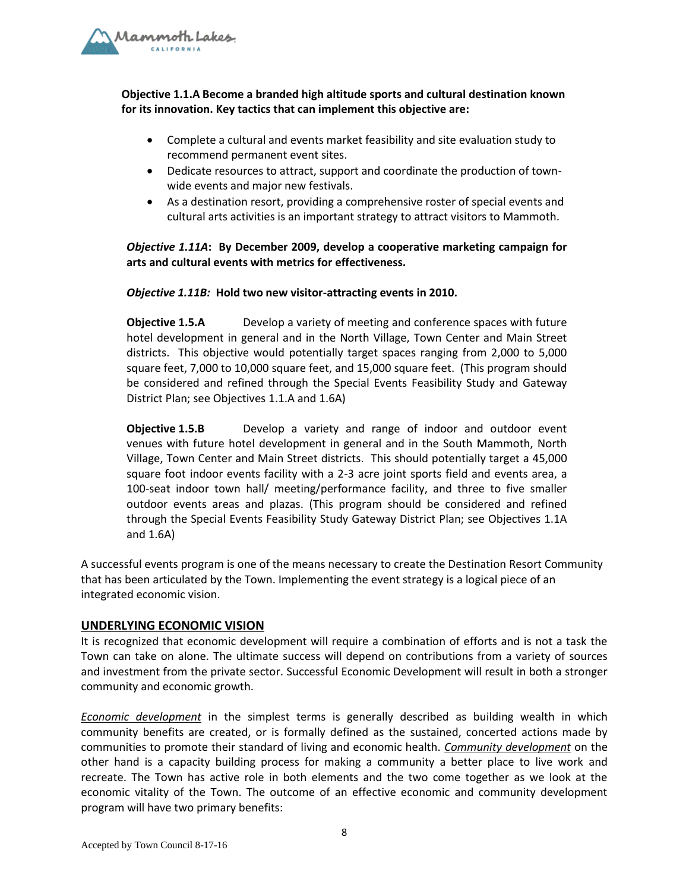

# **Objective 1.1.A Become a branded high altitude sports and cultural destination known for its innovation. Key tactics that can implement this objective are:**

- Complete a cultural and events market feasibility and site evaluation study to recommend permanent event sites.
- Dedicate resources to attract, support and coordinate the production of townwide events and major new festivals.
- As a destination resort, providing a comprehensive roster of special events and cultural arts activities is an important strategy to attract visitors to Mammoth.

# *Objective 1.11A***: By December 2009, develop a cooperative marketing campaign for arts and cultural events with metrics for effectiveness.**

#### *Objective 1.11B:* **Hold two new visitor-attracting events in 2010.**

**Objective 1.5.A** Develop a variety of meeting and conference spaces with future hotel development in general and in the North Village, Town Center and Main Street districts. This objective would potentially target spaces ranging from 2,000 to 5,000 square feet, 7,000 to 10,000 square feet, and 15,000 square feet. (This program should be considered and refined through the Special Events Feasibility Study and Gateway District Plan; see Objectives 1.1.A and 1.6A)

**Objective 1.5.B** Develop a variety and range of indoor and outdoor event venues with future hotel development in general and in the South Mammoth, North Village, Town Center and Main Street districts. This should potentially target a 45,000 square foot indoor events facility with a 2-3 acre joint sports field and events area, a 100-seat indoor town hall/ meeting/performance facility, and three to five smaller outdoor events areas and plazas. (This program should be considered and refined through the Special Events Feasibility Study Gateway District Plan; see Objectives 1.1A and 1.6A)

A successful events program is one of the means necessary to create the Destination Resort Community that has been articulated by the Town. Implementing the event strategy is a logical piece of an integrated economic vision.

## **UNDERLYING ECONOMIC VISION**

It is recognized that economic development will require a combination of efforts and is not a task the Town can take on alone. The ultimate success will depend on contributions from a variety of sources and investment from the private sector. Successful Economic Development will result in both a stronger community and economic growth.

*Economic development* in the simplest terms is generally described as building wealth in which community benefits are created, or is formally defined as the sustained, concerted actions made by communities to promote their standard of living and economic health. *Community development* on the other hand is a capacity building process for making a community a better place to live work and recreate. The Town has active role in both elements and the two come together as we look at the economic vitality of the Town. The outcome of an effective economic and community development program will have two primary benefits: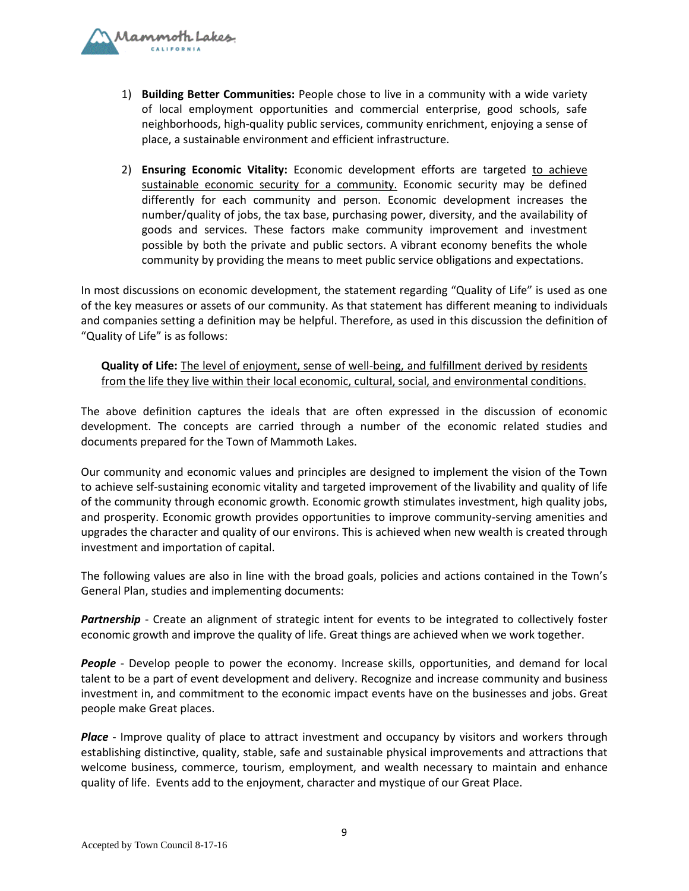

- 1) **Building Better Communities:** People chose to live in a community with a wide variety of local employment opportunities and commercial enterprise, good schools, safe neighborhoods, high-quality public services, community enrichment, enjoying a sense of place, a sustainable environment and efficient infrastructure.
- 2) **Ensuring Economic Vitality:** Economic development efforts are targeted to achieve sustainable economic security for a community. Economic security may be defined differently for each community and person. Economic development increases the number/quality of jobs, the tax base, purchasing power, diversity, and the availability of goods and services. These factors make community improvement and investment possible by both the private and public sectors. A vibrant economy benefits the whole community by providing the means to meet public service obligations and expectations.

In most discussions on economic development, the statement regarding "Quality of Life" is used as one of the key measures or assets of our community. As that statement has different meaning to individuals and companies setting a definition may be helpful. Therefore, as used in this discussion the definition of "Quality of Life" is as follows:

**Quality of Life:** The level of enjoyment, sense of well-being, and fulfillment derived by residents from the life they live within their local economic, cultural, social, and environmental conditions.

The above definition captures the ideals that are often expressed in the discussion of economic development. The concepts are carried through a number of the economic related studies and documents prepared for the Town of Mammoth Lakes.

Our community and economic values and principles are designed to implement the vision of the Town to achieve self-sustaining economic vitality and targeted improvement of the livability and quality of life of the community through economic growth. Economic growth stimulates investment, high quality jobs, and prosperity. Economic growth provides opportunities to improve community-serving amenities and upgrades the character and quality of our environs. This is achieved when new wealth is created through investment and importation of capital.

The following values are also in line with the broad goals, policies and actions contained in the Town's General Plan, studies and implementing documents:

*Partnership* - Create an alignment of strategic intent for events to be integrated to collectively foster economic growth and improve the quality of life. Great things are achieved when we work together.

*People* - Develop people to power the economy. Increase skills, opportunities, and demand for local talent to be a part of event development and delivery. Recognize and increase community and business investment in, and commitment to the economic impact events have on the businesses and jobs. Great people make Great places.

*Place* - Improve quality of place to attract investment and occupancy by visitors and workers through establishing distinctive, quality, stable, safe and sustainable physical improvements and attractions that welcome business, commerce, tourism, employment, and wealth necessary to maintain and enhance quality of life. Events add to the enjoyment, character and mystique of our Great Place.